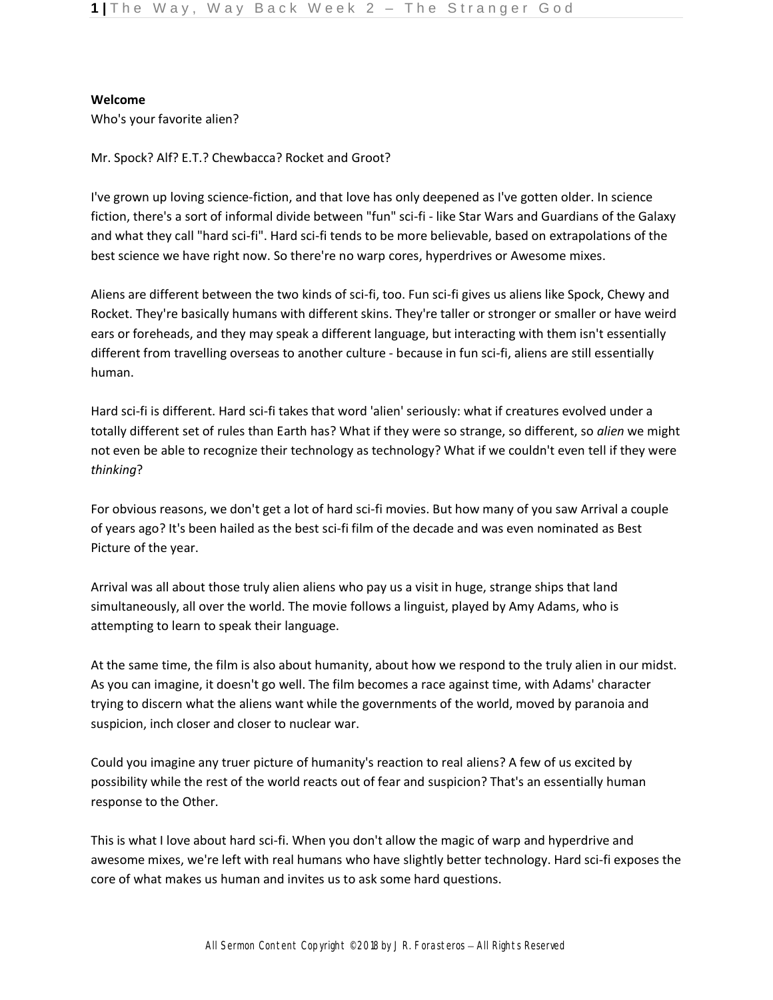## **Welcome**

Who's your favorite alien?

Mr. Spock? Alf? E.T.? Chewbacca? Rocket and Groot?

I've grown up loving science-fiction, and that love has only deepened as I've gotten older. In science fiction, there's a sort of informal divide between "fun" sci-fi - like Star Wars and Guardians of the Galaxy and what they call "hard sci-fi". Hard sci-fi tends to be more believable, based on extrapolations of the best science we have right now. So there're no warp cores, hyperdrives or Awesome mixes.

Aliens are different between the two kinds of sci-fi, too. Fun sci-fi gives us aliens like Spock, Chewy and Rocket. They're basically humans with different skins. They're taller or stronger or smaller or have weird ears or foreheads, and they may speak a different language, but interacting with them isn't essentially different from travelling overseas to another culture - because in fun sci-fi, aliens are still essentially human.

Hard sci-fi is different. Hard sci-fi takes that word 'alien' seriously: what if creatures evolved under a totally different set of rules than Earth has? What if they were so strange, so different, so *alien* we might not even be able to recognize their technology as technology? What if we couldn't even tell if they were *thinking*?

For obvious reasons, we don't get a lot of hard sci-fi movies. But how many of you saw Arrival a couple of years ago? It's been hailed as the best sci-fi film of the decade and was even nominated as Best Picture of the year.

Arrival was all about those truly alien aliens who pay us a visit in huge, strange ships that land simultaneously, all over the world. The movie follows a linguist, played by Amy Adams, who is attempting to learn to speak their language.

At the same time, the film is also about humanity, about how we respond to the truly alien in our midst. As you can imagine, it doesn't go well. The film becomes a race against time, with Adams' character trying to discern what the aliens want while the governments of the world, moved by paranoia and suspicion, inch closer and closer to nuclear war.

Could you imagine any truer picture of humanity's reaction to real aliens? A few of us excited by possibility while the rest of the world reacts out of fear and suspicion? That's an essentially human response to the Other.

This is what I love about hard sci-fi. When you don't allow the magic of warp and hyperdrive and awesome mixes, we're left with real humans who have slightly better technology. Hard sci-fi exposes the core of what makes us human and invites us to ask some hard questions.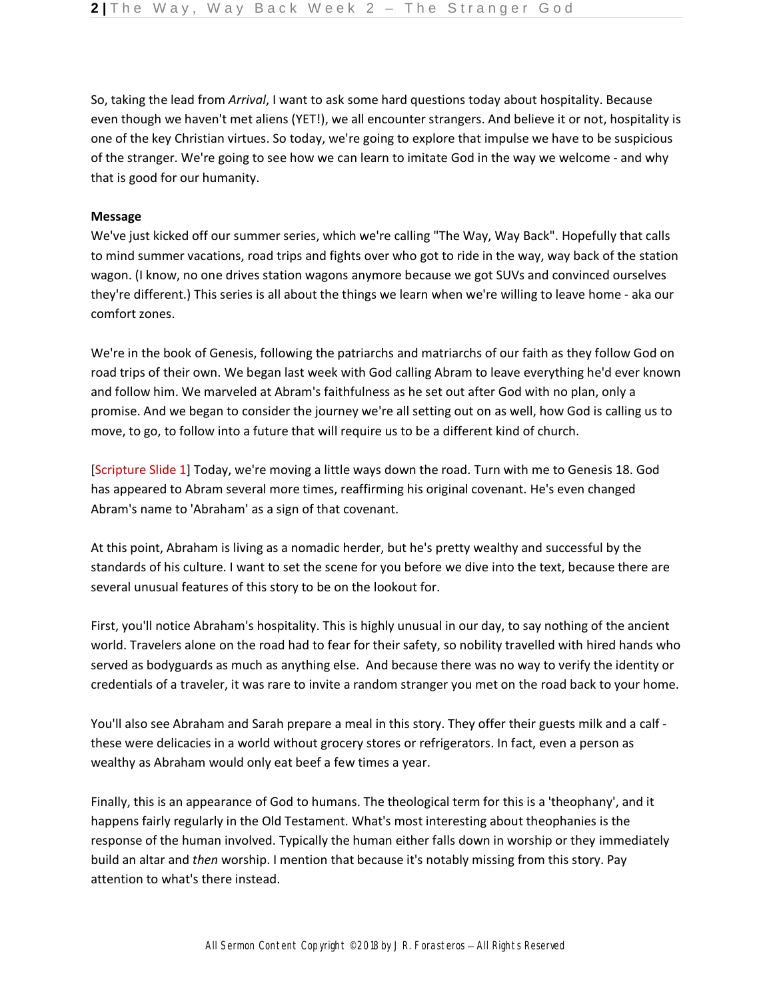So, taking the lead from *Arrival*, I want to ask some hard questions today about hospitality. Because even though we haven't met aliens (YET!), we all encounter strangers. And believe it or not, hospitality is one of the key Christian virtues. So today, we're going to explore that impulse we have to be suspicious of the stranger. We're going to see how we can learn to imitate God in the way we welcome - and why that is good for our humanity.

### **Message**

We've just kicked off our summer series, which we're calling "The Way, Way Back". Hopefully that calls to mind summer vacations, road trips and fights over who got to ride in the way, way back of the station wagon. (I know, no one drives station wagons anymore because we got SUVs and convinced ourselves they're different.) This series is all about the things we learn when we're willing to leave home - aka our comfort zones.

We're in the book of Genesis, following the patriarchs and matriarchs of our faith as they follow God on road trips of their own. We began last week with God calling Abram to leave everything he'd ever known and follow him. We marveled at Abram's faithfulness as he set out after God with no plan, only a promise. And we began to consider the journey we're all setting out on as well, how God is calling us to move, to go, to follow into a future that will require us to be a different kind of church.

[Scripture Slide 1] Today, we're moving a little ways down the road. Turn with me to Genesis 18. God has appeared to Abram several more times, reaffirming his original covenant. He's even changed Abram's name to 'Abraham' as a sign of that covenant.

At this point, Abraham is living as a nomadic herder, but he's pretty wealthy and successful by the standards of his culture. I want to set the scene for you before we dive into the text, because there are several unusual features of this story to be on the lookout for.

First, you'll notice Abraham's hospitality. This is highly unusual in our day, to say nothing of the ancient world. Travelers alone on the road had to fear for their safety, so nobility travelled with hired hands who served as bodyguards as much as anything else. And because there was no way to verify the identity or credentials of a traveler, it was rare to invite a random stranger you met on the road back to your home.

You'll also see Abraham and Sarah prepare a meal in this story. They offer their guests milk and a calf these were delicacies in a world without grocery stores or refrigerators. In fact, even a person as wealthy as Abraham would only eat beef a few times a year.

Finally, this is an appearance of God to humans. The theological term for this is a 'theophany', and it happens fairly regularly in the Old Testament. What's most interesting about theophanies is the response of the human involved. Typically the human either falls down in worship or they immediately build an altar and *then* worship. I mention that because it's notably missing from this story. Pay attention to what's there instead.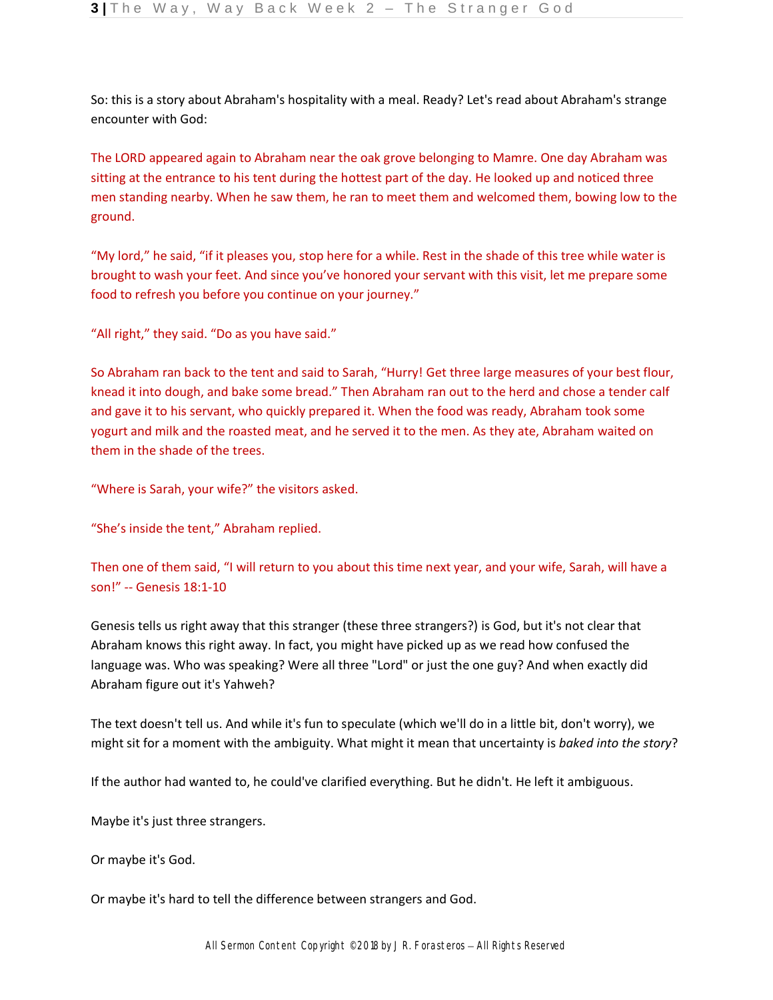So: this is a story about Abraham's hospitality with a meal. Ready? Let's read about Abraham's strange encounter with God:

The LORD appeared again to Abraham near the oak grove belonging to Mamre. One day Abraham was sitting at the entrance to his tent during the hottest part of the day. He looked up and noticed three men standing nearby. When he saw them, he ran to meet them and welcomed them, bowing low to the ground.

"My lord," he said, "if it pleases you, stop here for a while. Rest in the shade of this tree while water is brought to wash your feet. And since you've honored your servant with this visit, let me prepare some food to refresh you before you continue on your journey."

"All right," they said. "Do as you have said."

So Abraham ran back to the tent and said to Sarah, "Hurry! Get three large measures of your best flour, knead it into dough, and bake some bread." Then Abraham ran out to the herd and chose a tender calf and gave it to his servant, who quickly prepared it. When the food was ready, Abraham took some yogurt and milk and the roasted meat, and he served it to the men. As they ate, Abraham waited on them in the shade of the trees.

"Where is Sarah, your wife?" the visitors asked.

"She's inside the tent," Abraham replied.

Then one of them said, "I will return to you about this time next year, and your wife, Sarah, will have a son!" -- Genesis 18:1-10

Genesis tells us right away that this stranger (these three strangers?) is God, but it's not clear that Abraham knows this right away. In fact, you might have picked up as we read how confused the language was. Who was speaking? Were all three "Lord" or just the one guy? And when exactly did Abraham figure out it's Yahweh?

The text doesn't tell us. And while it's fun to speculate (which we'll do in a little bit, don't worry), we might sit for a moment with the ambiguity. What might it mean that uncertainty is *baked into the story*?

If the author had wanted to, he could've clarified everything. But he didn't. He left it ambiguous.

Maybe it's just three strangers.

Or maybe it's God.

Or maybe it's hard to tell the difference between strangers and God.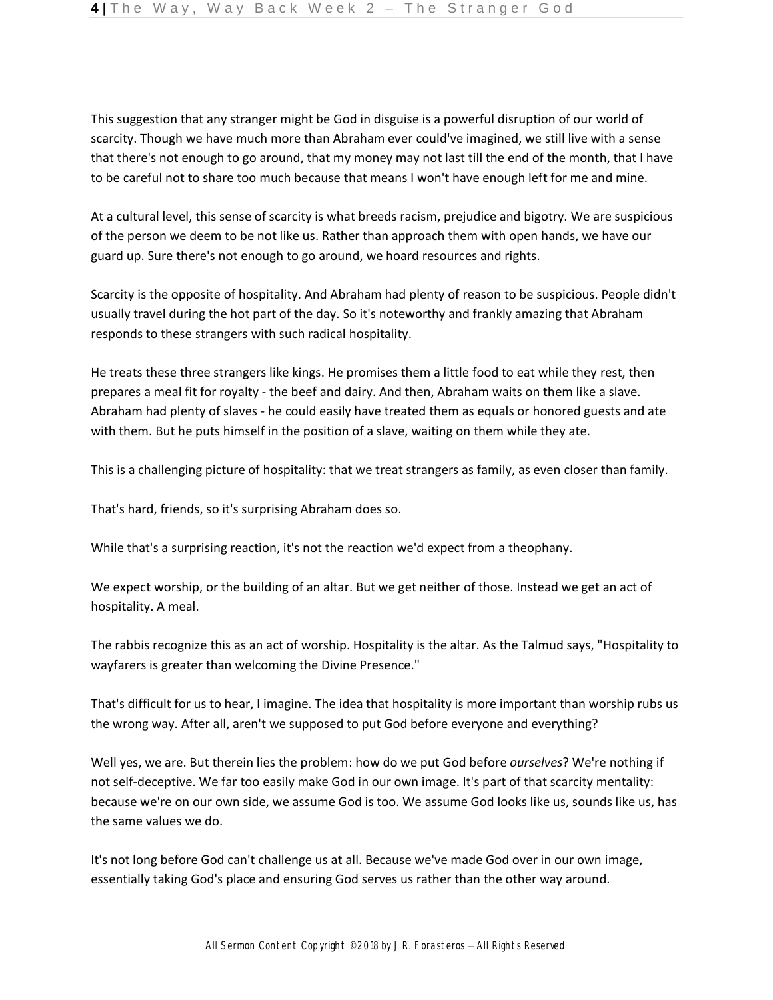This suggestion that any stranger might be God in disguise is a powerful disruption of our world of scarcity. Though we have much more than Abraham ever could've imagined, we still live with a sense that there's not enough to go around, that my money may not last till the end of the month, that I have to be careful not to share too much because that means I won't have enough left for me and mine.

At a cultural level, this sense of scarcity is what breeds racism, prejudice and bigotry. We are suspicious of the person we deem to be not like us. Rather than approach them with open hands, we have our guard up. Sure there's not enough to go around, we hoard resources and rights.

Scarcity is the opposite of hospitality. And Abraham had plenty of reason to be suspicious. People didn't usually travel during the hot part of the day. So it's noteworthy and frankly amazing that Abraham responds to these strangers with such radical hospitality.

He treats these three strangers like kings. He promises them a little food to eat while they rest, then prepares a meal fit for royalty - the beef and dairy. And then, Abraham waits on them like a slave. Abraham had plenty of slaves - he could easily have treated them as equals or honored guests and ate with them. But he puts himself in the position of a slave, waiting on them while they ate.

This is a challenging picture of hospitality: that we treat strangers as family, as even closer than family.

That's hard, friends, so it's surprising Abraham does so.

While that's a surprising reaction, it's not the reaction we'd expect from a theophany.

We expect worship, or the building of an altar. But we get neither of those. Instead we get an act of hospitality. A meal.

The rabbis recognize this as an act of worship. Hospitality is the altar. As the Talmud says, "Hospitality to wayfarers is greater than welcoming the Divine Presence."

That's difficult for us to hear, I imagine. The idea that hospitality is more important than worship rubs us the wrong way. After all, aren't we supposed to put God before everyone and everything?

Well yes, we are. But therein lies the problem: how do we put God before *ourselves*? We're nothing if not self-deceptive. We far too easily make God in our own image. It's part of that scarcity mentality: because we're on our own side, we assume God is too. We assume God looks like us, sounds like us, has the same values we do.

It's not long before God can't challenge us at all. Because we've made God over in our own image, essentially taking God's place and ensuring God serves us rather than the other way around.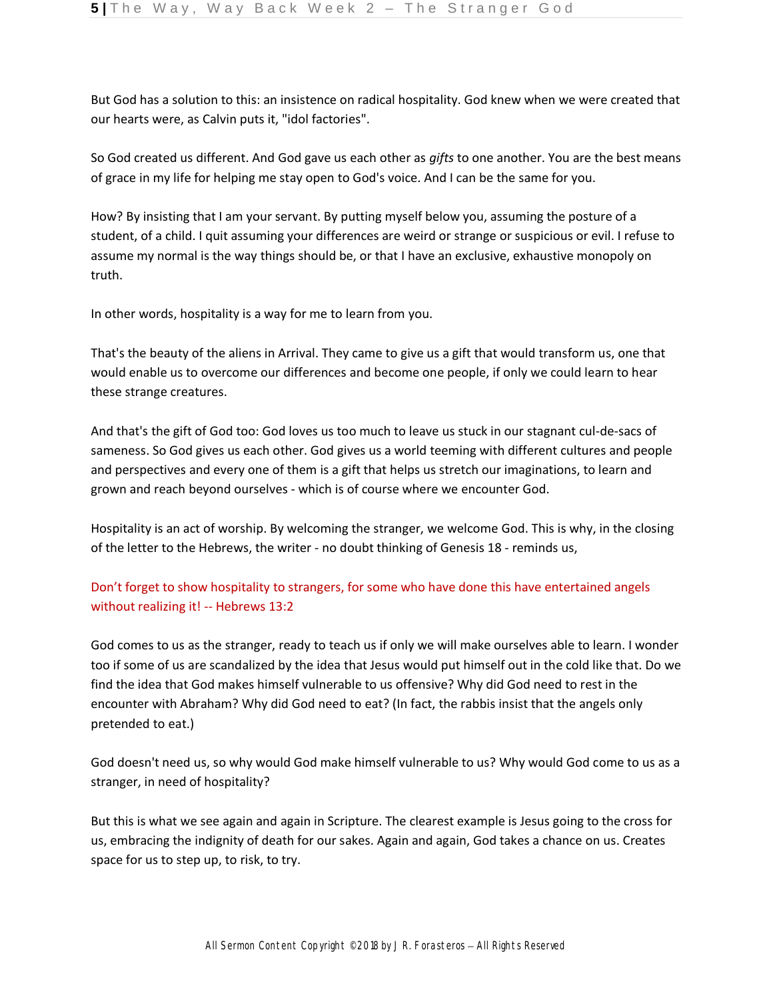But God has a solution to this: an insistence on radical hospitality. God knew when we were created that our hearts were, as Calvin puts it, "idol factories".

So God created us different. And God gave us each other as *gifts* to one another. You are the best means of grace in my life for helping me stay open to God's voice. And I can be the same for you.

How? By insisting that I am your servant. By putting myself below you, assuming the posture of a student, of a child. I quit assuming your differences are weird or strange or suspicious or evil. I refuse to assume my normal is the way things should be, or that I have an exclusive, exhaustive monopoly on truth.

In other words, hospitality is a way for me to learn from you.

That's the beauty of the aliens in Arrival. They came to give us a gift that would transform us, one that would enable us to overcome our differences and become one people, if only we could learn to hear these strange creatures.

And that's the gift of God too: God loves us too much to leave us stuck in our stagnant cul-de-sacs of sameness. So God gives us each other. God gives us a world teeming with different cultures and people and perspectives and every one of them is a gift that helps us stretch our imaginations, to learn and grown and reach beyond ourselves - which is of course where we encounter God.

Hospitality is an act of worship. By welcoming the stranger, we welcome God. This is why, in the closing of the letter to the Hebrews, the writer - no doubt thinking of Genesis 18 - reminds us,

# Don't forget to show hospitality to strangers, for some who have done this have entertained angels without realizing it! -- Hebrews 13:2

God comes to us as the stranger, ready to teach us if only we will make ourselves able to learn. I wonder too if some of us are scandalized by the idea that Jesus would put himself out in the cold like that. Do we find the idea that God makes himself vulnerable to us offensive? Why did God need to rest in the encounter with Abraham? Why did God need to eat? (In fact, the rabbis insist that the angels only pretended to eat.)

God doesn't need us, so why would God make himself vulnerable to us? Why would God come to us as a stranger, in need of hospitality?

But this is what we see again and again in Scripture. The clearest example is Jesus going to the cross for us, embracing the indignity of death for our sakes. Again and again, God takes a chance on us. Creates space for us to step up, to risk, to try.